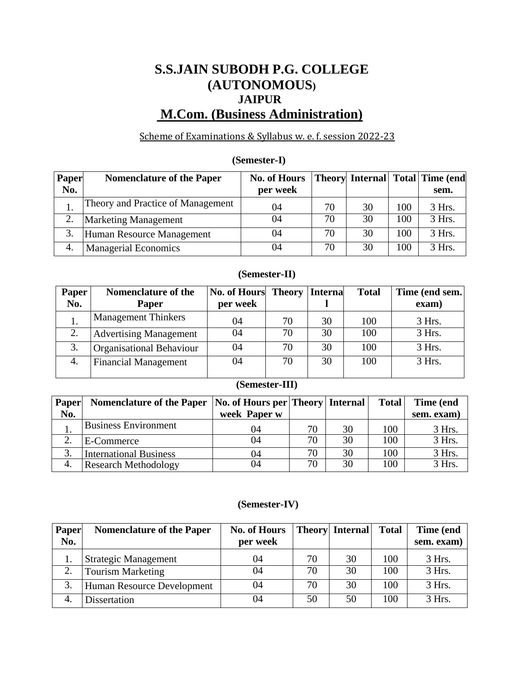# **S.S.JAIN SUBODH P.G. COLLEGE (AUTONOMOUS) JAIPUR M.Com. (Business Administration)**

## Scheme of Examinations & Syllabus w. e. f. session 2022-23

## **(Semester-I)**

| Paper | <b>Nomenclature of the Paper</b>  | <b>No. of Hours</b> |    |    |     | <b>Theory Internal Total Time (end)</b> |
|-------|-----------------------------------|---------------------|----|----|-----|-----------------------------------------|
| No.   |                                   | per week            |    |    |     | sem.                                    |
|       | Theory and Practice of Management | 04                  | 70 | 30 | 100 | 3 Hrs.                                  |
| 2.    | <b>Marketing Management</b>       | 04                  | 70 | 30 | 100 | 3 Hrs.                                  |
| 3.    | Human Resource Management         | 04                  | 70 | 30 | 100 | 3 Hrs.                                  |
| 4.    | <b>Managerial Economics</b>       | 04                  | 70 | 30 | 100 | 3 Hrs.                                  |

# **(Semester-II)**

| <b>Paper</b> | <b>Nomenclature of the</b>      | <b>No. of Hours</b> | Theory | <b>Interna</b> | <b>Total</b> | Time (end sem. |
|--------------|---------------------------------|---------------------|--------|----------------|--------------|----------------|
| No.          | Paper                           | per week            |        |                |              | exam)          |
|              | <b>Management Thinkers</b>      | 04                  | 70     | 30             | 100          | 3 Hrs.         |
|              | <b>Advertising Management</b>   | 04                  | 70     | 30             | 100          | 3 Hrs.         |
| 3.           | <b>Organisational Behaviour</b> | 04                  | 70     | 30             | 100          | 3 Hrs.         |
| 4.           | <b>Financial Management</b>     | 04                  | 70     | 30             | 100          | 3 Hrs.         |

## **(Semester-III)**

| <b>Paper</b> | Nomenclature of the Paper   No. of Hours per   Theory   Internal |              |    |    | <b>Total</b> | Time (end  |
|--------------|------------------------------------------------------------------|--------------|----|----|--------------|------------|
| No.          |                                                                  | week Paper w |    |    |              | sem. exam) |
|              | <b>Business Environment</b>                                      | 04           | 70 | 30 | 100          | 3 Hrs.     |
| ◠            | E-Commerce                                                       | 04           | 70 | 30 | 100          | 3 Hrs.     |
| 3.           | <b>International Business</b>                                    | 04           | 70 | 30 | 100          | 3 Hrs.     |
| 4.           | <b>Research Methodology</b>                                      | 04           | 70 | 30 | 100          | 3 Hrs.     |

## **(Semester-IV)**

| Paper | <b>Nomenclature of the Paper</b> | <b>No. of Hours</b> |    | Theory Internal | <b>Total</b> | Time (end  |
|-------|----------------------------------|---------------------|----|-----------------|--------------|------------|
| No.   |                                  | per week            |    |                 |              | sem. exam) |
|       | <b>Strategic Management</b>      | 04                  | 70 | 30              | 100          | 3 Hrs.     |
| 2.    | <b>Tourism Marketing</b>         | 04                  | 70 | 30              | 100          | 3 Hrs.     |
| 3.    | Human Resource Development       | 04                  | 70 | 30              | 100          | 3 Hrs.     |
| 4.    | Dissertation                     | 04                  | 50 | 50              | 100          | 3 Hrs.     |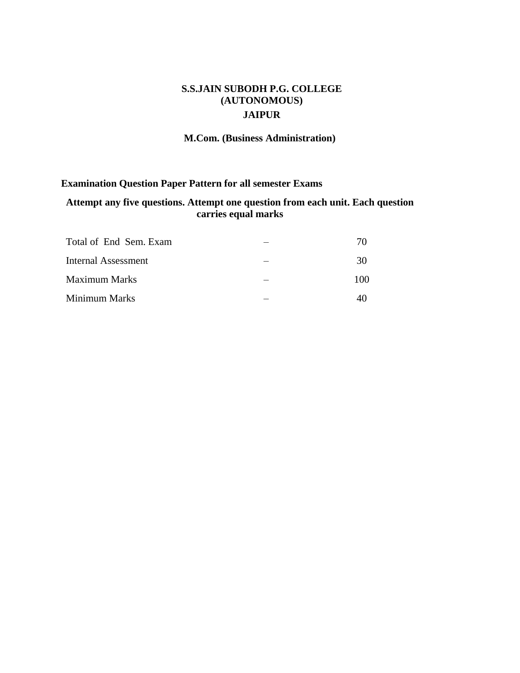## **S.S.JAIN SUBODH P.G. COLLEGE (AUTONOMOUS) JAIPUR**

## **M.Com. (Business Administration)**

## **Examination Question Paper Pattern for all semester Exams**

## **Attempt any five questions. Attempt one question from each unit. Each question carries equal marks**

| Total of End Sem. Exam | 70  |
|------------------------|-----|
| Internal Assessment    | 30  |
| <b>Maximum Marks</b>   | 100 |
| Minimum Marks          |     |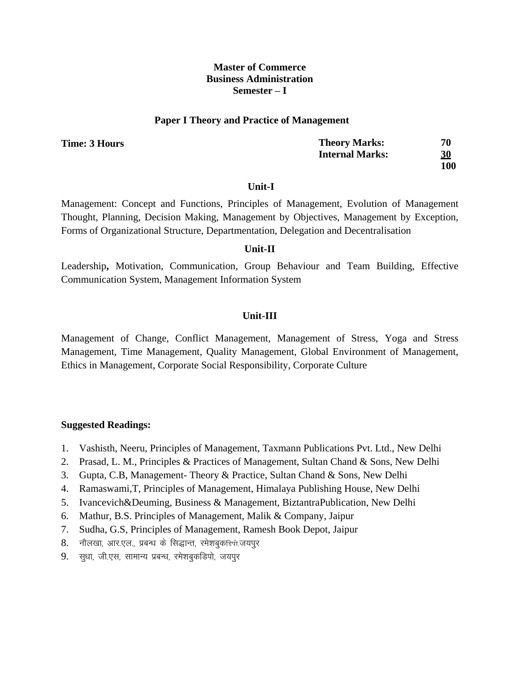#### **Paper I Theory and Practice of Management**

**Time: 3 Hours** 

| <b>Theory Marks:</b>   | 70         |
|------------------------|------------|
| <b>Internal Marks:</b> | 30         |
|                        | <b>100</b> |

#### **Unit-I**

Management: Concept and Functions, Principles of Management, Evolution of Management Thought, Planning, Decision Making, Management by Objectives, Management by Exception, Forms of Organizational Structure, Departmentation, Delegation and Decentralisation

#### **Unit-II**

Leadership**,** Motivation, Communication, Group Behaviour and Team Building, Effective Communication System, Management Information System

#### **Unit-III**

Management of Change, Conflict Management, Management of Stress, Yoga and Stress Management, Time Management, Quality Management, Global Environment of Management, Ethics in Management, Corporate Social Responsibility, Corporate Culture

- 1. Vashisth, Neeru, Principles of Management, Taxmann Publications Pvt. Ltd., New Delhi
- 2. Prasad, L. M., Principles & Practices of Management, Sultan Chand & Sons, New Delhi
- 3. Gupta, C.B, Management- Theory & Practice, Sultan Chand & Sons, New Delhi
- 4. Ramaswami,T, Principles of Management, Himalaya Publishing House, New Delhi
- 5. Ivancevich&Deuming, Business & Management, BiztantraPublication, New Delhi
- 6. Mathur, B.S. Principles of Management, Malik & Company, Jaipur
- 7. Sudha, G.S, Principles of Management, Ramesh Book Depot, Jaipur
- 8. नौलखा, आर.एल., प्रबन्ध के सिद्धान्त, रमेशबुकडिपो,जयपूर
- 9. सुधा, जी.एस, सामान्य प्रबन्ध, रमेशबुकडिपो, जयपूर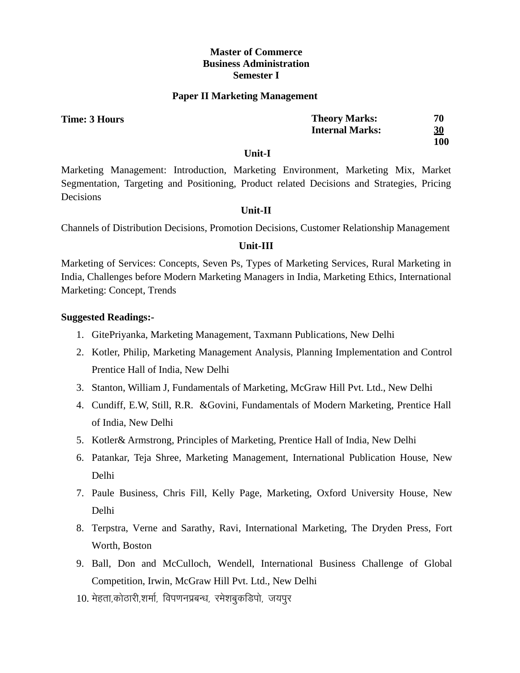#### **Paper II Marketing Management**

| Time: 3 Hours | <b>Theory Marks:</b>   | 70        |
|---------------|------------------------|-----------|
|               | <b>Internal Marks:</b> | <u>30</u> |
|               |                        | 100       |

#### **Unit-I**

Marketing Management: Introduction, Marketing Environment, Marketing Mix, Market Segmentation, Targeting and Positioning, Product related Decisions and Strategies, Pricing Decisions

## **Unit-II**

Channels of Distribution Decisions, Promotion Decisions, Customer Relationship Management

## **Unit-III**

Marketing of Services: Concepts, Seven Ps, Types of Marketing Services, Rural Marketing in India, Challenges before Modern Marketing Managers in India, Marketing Ethics, International Marketing: Concept, Trends

- 1. GitePriyanka, Marketing Management, Taxmann Publications, New Delhi
- 2. Kotler, Philip, Marketing Management Analysis, Planning Implementation and Control Prentice Hall of India, New Delhi
- 3. Stanton, William J, Fundamentals of Marketing, McGraw Hill Pvt. Ltd., New Delhi
- 4. Cundiff, E.W, Still, R.R. &Govini, Fundamentals of Modern Marketing, Prentice Hall of India, New Delhi
- 5. Kotler& Armstrong, Principles of Marketing, Prentice Hall of India, New Delhi
- 6. Patankar, Teja Shree, Marketing Management, International Publication House, New Delhi
- 7. Paule Business, Chris Fill, Kelly Page, Marketing, Oxford University House, New Delhi
- 8. Terpstra, Verne and Sarathy, Ravi, International Marketing, The Dryden Press, Fort Worth, Boston
- 9. Ball, Don and McCulloch, Wendell, International Business Challenge of Global Competition, Irwin, McGraw Hill Pvt. Ltd., New Delhi
- 10. मेहता,कोठारी,शर्मा, विपणनप्रबन्ध, रमेशबुकडिपो, जयपूर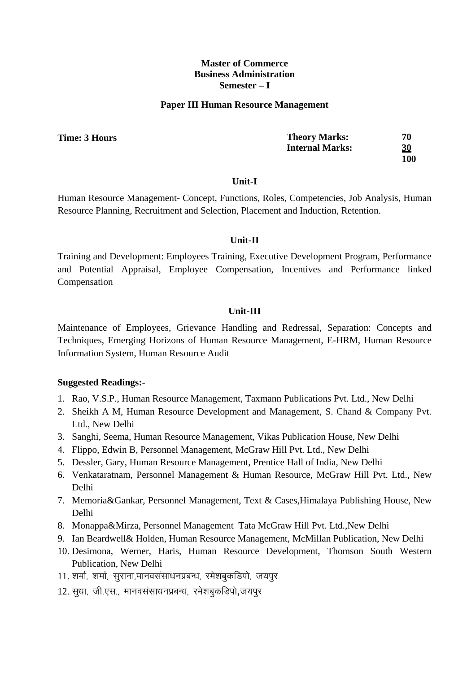#### **Paper III Human Resource Management**

| Time: 3 Hours | <b>Theory Marks:</b>   | 70        |
|---------------|------------------------|-----------|
|               | <b>Internal Marks:</b> | <u>30</u> |
|               |                        | 100       |

#### **Unit-I**

Human Resource Management- Concept, Functions, Roles, Competencies, Job Analysis, Human Resource Planning, Recruitment and Selection, Placement and Induction, Retention.

## **Unit-II**

Training and Development: Employees Training, Executive Development Program, Performance and Potential Appraisal, Employee Compensation, Incentives and Performance linked Compensation

## **Unit-III**

Maintenance of Employees, Grievance Handling and Redressal, Separation: Concepts and Techniques, Emerging Horizons of Human Resource Management, E-HRM, Human Resource Information System, Human Resource Audit

- 1. Rao, V.S.P., Human Resource Management, Taxmann Publications Pvt. Ltd., New Delhi
- 2. Sheikh A M, Human Resource Development and Management, S. Chand & Company Pvt. Ltd., New Delhi
- 3. Sanghi, Seema, Human Resource Management, Vikas Publication House, New Delhi
- 4. Flippo, Edwin B, Personnel Management, McGraw Hill Pvt. Ltd., New Delhi
- 5. Dessler, Gary, Human Resource Management, Prentice Hall of India, New Delhi
- 6. Venkataratnam, Personnel Management & Human Resource, McGraw Hill Pvt. Ltd., New Delhi
- 7. Memoria&Gankar, Personnel Management, Text & Cases,Himalaya Publishing House, New Delhi
- 8. Monappa&Mirza, Personnel Management Tata McGraw Hill Pvt. Ltd.,New Delhi
- 9. Ian Beardwell& Holden, Human Resource Management, McMillan Publication, New Delhi
- 10. Desimona, Werner, Haris, Human Resource Development, Thomson South Western Publication, New Delhi
- 11. शर्मा, शर्मा, सुराना,मानवसंसाधनप्रबन्ध, रमेशबुकडिपो, जयपुर
- 12. सुधा, जी.एस., मानवसंसाधनप्रबन्ध, रमेशबुकडिपो,जयपुर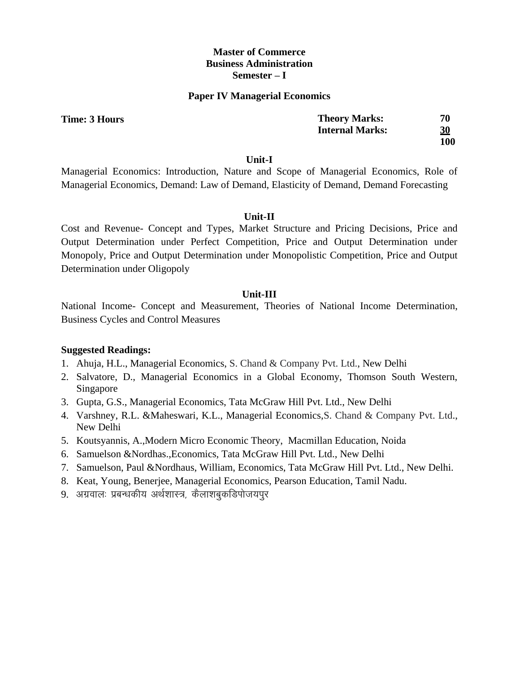#### **Paper IV Managerial Economics**

| <b>Theory Marks:</b>   | 70         |
|------------------------|------------|
| <b>Internal Marks:</b> | <u>30</u>  |
|                        | <b>100</b> |

#### **Unit-I**

Managerial Economics: Introduction, Nature and Scope of Managerial Economics, Role of Managerial Economics, Demand: Law of Demand, Elasticity of Demand, Demand Forecasting

#### **Unit-II**

Cost and Revenue- Concept and Types, Market Structure and Pricing Decisions, Price and Output Determination under Perfect Competition, Price and Output Determination under Monopoly, Price and Output Determination under Monopolistic Competition, Price and Output Determination under Oligopoly

#### **Unit-III**

National Income- Concept and Measurement, Theories of National Income Determination, Business Cycles and Control Measures

## **Suggested Readings:**

- 1. Ahuja, H.L., Managerial Economics, S. Chand & Company Pvt. Ltd., New Delhi
- 2. Salvatore, D., Managerial Economics in a Global Economy, Thomson South Western, Singapore
- 3. Gupta, G.S., Managerial Economics, Tata McGraw Hill Pvt. Ltd., New Delhi
- 4. Varshney, R.L. &Maheswari, K.L., Managerial Economics,S. Chand & Company Pvt. Ltd., New Delhi
- 5. Koutsyannis, A.,Modern Micro Economic Theory, Macmillan Education, Noida
- 6. Samuelson &Nordhas.,Economics, Tata McGraw Hill Pvt. Ltd., New Delhi
- 7. Samuelson, Paul &Nordhaus, William, Economics, Tata McGraw Hill Pvt. Ltd., New Delhi.
- 8. Keat, Young, Benerjee, Managerial Economics, Pearson Education, Tamil Nadu.
- 9. अग्रवालः प्रबन्धकीय अर्थशास्त्र, कैलाशबुकडिपोजयपुर

**Time: 3 Hours**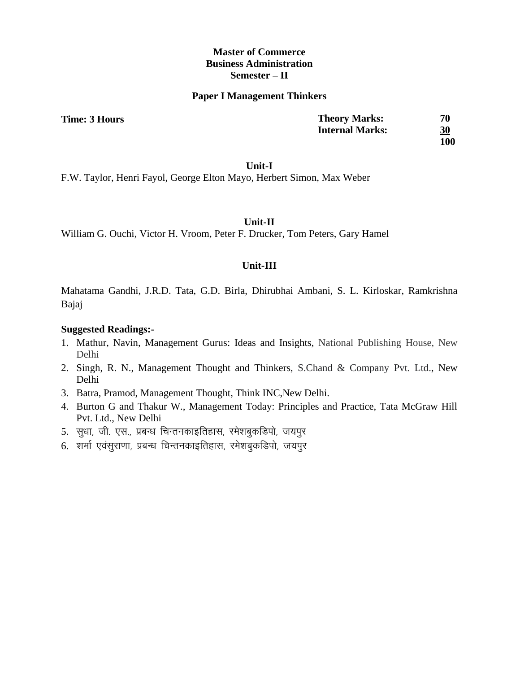#### **Paper I Management Thinkers**

**Time: 3 Hours** 

| <b>Theory Marks:</b>   | 70        |
|------------------------|-----------|
| <b>Internal Marks:</b> | <u>30</u> |
|                        | 100       |

#### **Unit-I**

F.W. Taylor, Henri Fayol, George Elton Mayo, Herbert Simon, Max Weber

**Unit-II**

William G. Ouchi, Victor H. Vroom, Peter F. Drucker, Tom Peters, Gary Hamel

#### **Unit-III**

Mahatama Gandhi, J.R.D. Tata, G.D. Birla, Dhirubhai Ambani, S. L. Kirloskar, Ramkrishna Bajaj

- 1. Mathur, Navin, Management Gurus: Ideas and Insights, National Publishing House, New Delhi
- 2. Singh, R. N., Management Thought and Thinkers, S.Chand & Company Pvt. Ltd., New Delhi
- 3. Batra, Pramod, Management Thought, Think INC,New Delhi.
- 4. Burton G and Thakur W., Management Today: Principles and Practice, Tata McGraw Hill Pvt. Ltd., New Delhi
- 5. सुधा, जी. एस., प्रबन्ध चिन्तनकाइतिहास, रमेशबुकडिपो, जयपूर
- 6. शर्मा एवंसुराणा, प्रबन्ध चिन्तनकाइतिहास, रमेशबुकडिपो, जयपुर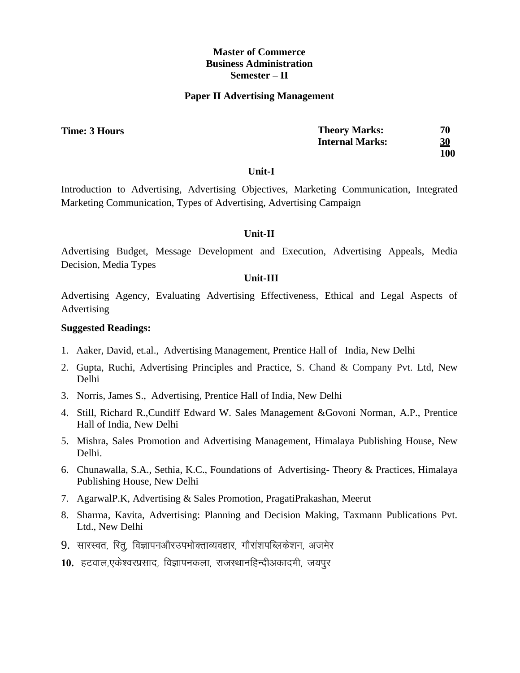#### **Paper II Advertising Management**

| me: 3 Hours | <b>Theory Marks:</b>   | 70        |
|-------------|------------------------|-----------|
|             | <b>Internal Marks:</b> | <u>30</u> |
|             |                        | 100       |

#### **Unit-I**

Introduction to Advertising, Advertising Objectives, Marketing Communication, Integrated Marketing Communication, Types of Advertising, Advertising Campaign

## **Unit-II**

Advertising Budget, Message Development and Execution, Advertising Appeals, Media Decision, Media Types

#### **Unit-III**

Advertising Agency, Evaluating Advertising Effectiveness, Ethical and Legal Aspects of Advertising

## **Suggested Readings:**

- 1. Aaker, David, et.al., Advertising Management, Prentice Hall of India, New Delhi
- 2. Gupta, Ruchi, Advertising Principles and Practice, S. Chand & Company Pvt. Ltd, New Delhi
- 3. Norris, James S., Advertising, Prentice Hall of India, New Delhi
- 4. Still, Richard R.,Cundiff Edward W. Sales Management &Govoni Norman, A.P., Prentice Hall of India, New Delhi
- 5. Mishra, Sales Promotion and Advertising Management, Himalaya Publishing House, New Delhi.
- 6. Chunawalla, S.A., Sethia, K.C., Foundations of Advertising- Theory & Practices, Himalaya Publishing House, New Delhi
- 7. AgarwalP.K, Advertising & Sales Promotion, PragatiPrakashan, Meerut
- 8. Sharma, Kavita, Advertising: Planning and Decision Making, Taxmann Publications Pvt. Ltd., New Delhi
- 9. सारस्वत, रित, विज्ञापनऔरउपभोक्ताव्यवहार, गौरांशपब्लिकेशन, अजमेर
- 10. हटवाल,एकेश्वरप्रसाद, विज्ञापनकला, राजस्थानहिन्दीअकादमी, जयपुर

**Time:**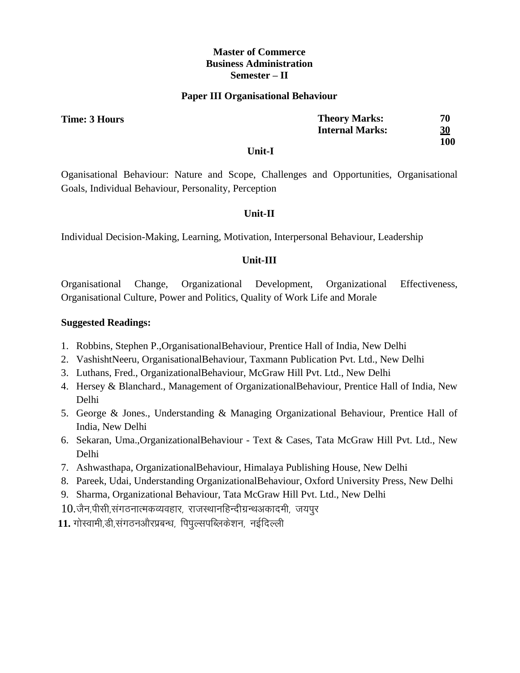#### **Paper III Organisational Behaviour**

| rs | <b>Theory Marks:</b>   | 70 |
|----|------------------------|----|
|    | <b>Internal Marks:</b> | 30 |

**100**

#### **Unit-I**

Oganisational Behaviour: Nature and Scope, Challenges and Opportunities, Organisational Goals, Individual Behaviour, Personality, Perception

## **Unit-II**

Individual Decision-Making, Learning, Motivation, Interpersonal Behaviour, Leadership

## **Unit-III**

Organisational Change, Organizational Development, Organizational Effectiveness, Organisational Culture, Power and Politics, Quality of Work Life and Morale

## **Suggested Readings:**

- 1. Robbins, Stephen P.,OrganisationalBehaviour, Prentice Hall of India, New Delhi
- 2. VashishtNeeru, OrganisationalBehaviour, Taxmann Publication Pvt. Ltd., New Delhi
- 3. Luthans, Fred., OrganizationalBehaviour, McGraw Hill Pvt. Ltd., New Delhi
- 4. Hersey & Blanchard., Management of OrganizationalBehaviour, Prentice Hall of India, New Delhi
- 5. George & Jones., Understanding & Managing Organizational Behaviour, Prentice Hall of India, New Delhi
- 6. Sekaran, Uma.,OrganizationalBehaviour Text & Cases, Tata McGraw Hill Pvt. Ltd., New Delhi
- 7. Ashwasthapa, OrganizationalBehaviour, Himalaya Publishing House, New Delhi
- 8. Pareek, Udai, Understanding OrganizationalBehaviour, Oxford University Press, New Delhi
- 9. Sharma, Organizational Behaviour, Tata McGraw Hill Pvt. Ltd., New Delhi
- $10.\tilde$ जैन,पीसी,संगठनात्मकव्यवहार, राजस्थानहिन्दीग्रन्थअकादमी, जयपूर
- 11. गोस्वामी,डी,संगठनऔरप्रबन्ध, पिपुल्सपब्लिकेशन, नईदिल्ली

**Time: 3 Hours**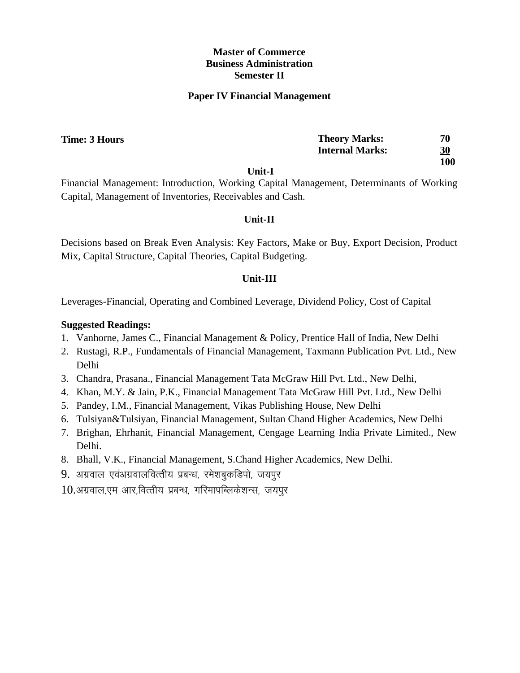#### **Paper IV Financial Management**

| Time: 3 Hours | <b>Theory Marks:</b>   | 70        |
|---------------|------------------------|-----------|
|               | <b>Internal Marks:</b> | <u>30</u> |
|               | ___ _                  | 100       |

**Unit-I**

Financial Management: Introduction, Working Capital Management, Determinants of Working Capital, Management of Inventories, Receivables and Cash.

## **Unit-II**

Decisions based on Break Even Analysis: Key Factors, Make or Buy, Export Decision, Product Mix, Capital Structure, Capital Theories, Capital Budgeting.

## **Unit-III**

Leverages-Financial, Operating and Combined Leverage, Dividend Policy, Cost of Capital

- 1. Vanhorne, James C., Financial Management & Policy, Prentice Hall of India, New Delhi
- 2. Rustagi, R.P., Fundamentals of Financial Management, Taxmann Publication Pvt. Ltd., New Delhi
- 3. Chandra, Prasana., Financial Management Tata McGraw Hill Pvt. Ltd., New Delhi,
- 4. Khan, M.Y. & Jain, P.K., Financial Management Tata McGraw Hill Pvt. Ltd., New Delhi
- 5. Pandey, I.M., Financial Management, Vikas Publishing House, New Delhi
- 6. Tulsiyan&Tulsiyan, Financial Management, Sultan Chand Higher Academics, New Delhi
- 7. Brighan, Ehrhanit, Financial Management, Cengage Learning India Private Limited., New Delhi.
- 8. Bhall, V.K., Financial Management, S.Chand Higher Academics, New Delhi.
- 9. अग्रवाल एवंअग्रवालवित्तीय प्रबन्ध, रमेशबुकडिपो, जयपुर
- $10.$ अग्रवाल,एम आर,वित्तीय प्रबन्ध, गरिमापब्लिकेशन्स, जयपुर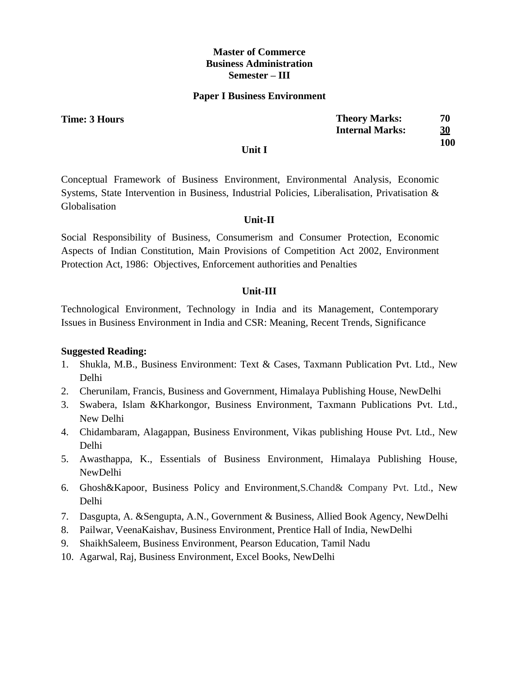#### **Paper I Business Environment**

**Time: 3 Hours** 

| <b>Theory Marks:</b>   | 70        |
|------------------------|-----------|
| <b>Internal Marks:</b> | <u>30</u> |
|                        | 100       |

#### **Unit I**

Conceptual Framework of Business Environment, Environmental Analysis, Economic Systems, State Intervention in Business, Industrial Policies, Liberalisation, Privatisation & Globalisation

## **Unit-II**

Social Responsibility of Business, Consumerism and Consumer Protection, Economic Aspects of Indian Constitution, Main Provisions of Competition Act 2002, Environment Protection Act, 1986: Objectives, Enforcement authorities and Penalties

#### **Unit-III**

Technological Environment, Technology in India and its Management, Contemporary Issues in Business Environment in India and CSR: Meaning, Recent Trends, Significance

- 1. Shukla, M.B., Business Environment: Text & Cases, Taxmann Publication Pvt. Ltd., New Delhi
- 2. Cherunilam, Francis, Business and Government, Himalaya Publishing House, NewDelhi
- 3. Swabera, Islam &Kharkongor, Business Environment, Taxmann Publications Pvt. Ltd., New Delhi
- 4. Chidambaram, Alagappan, Business Environment, Vikas publishing House Pvt. Ltd., New Delhi
- 5. Awasthappa, K., Essentials of Business Environment, Himalaya Publishing House, NewDelhi
- 6. Ghosh&Kapoor, Business Policy and Environment,S.Chand& Company Pvt. Ltd., New Delhi
- 7. Dasgupta, A. &Sengupta, A.N., Government & Business, Allied Book Agency, NewDelhi
- 8. Pailwar, VeenaKaishav, Business Environment, Prentice Hall of India, NewDelhi
- 9. ShaikhSaleem, Business Environment, Pearson Education, Tamil Nadu
- 10. Agarwal, Raj, Business Environment, Excel Books, NewDelhi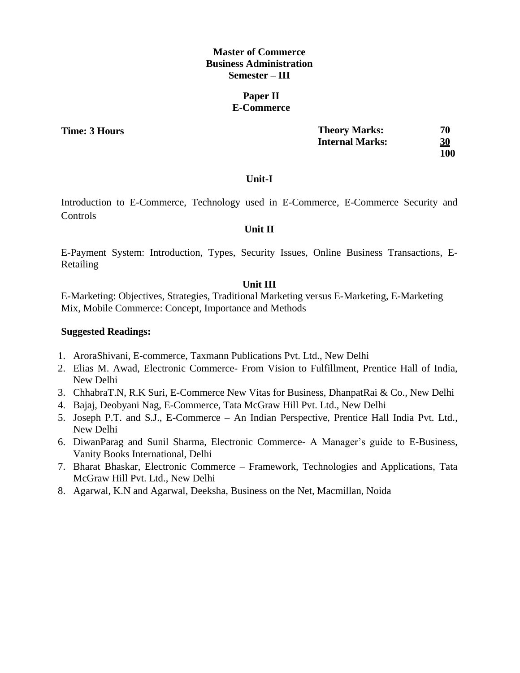## **Paper II E-Commerce**

**Time: 3 Hours** 

| <b>Theory Marks:</b>   | 70  |
|------------------------|-----|
| <b>Internal Marks:</b> | 30  |
|                        | 100 |

## **Unit-I**

Introduction to E-Commerce, Technology used in E-Commerce, E-Commerce Security and **Controls** 

## **Unit II**

E-Payment System: Introduction, Types, Security Issues, Online Business Transactions, E-Retailing

## **Unit III**

E-Marketing: Objectives, Strategies, Traditional Marketing versus E-Marketing, E-Marketing Mix, Mobile Commerce: Concept, Importance and Methods

- 1. AroraShivani, E-commerce, Taxmann Publications Pvt. Ltd., New Delhi
- 2. Elias M. Awad, Electronic Commerce- From Vision to Fulfillment, Prentice Hall of India, New Delhi
- 3. ChhabraT.N, R.K Suri, E-Commerce New Vitas for Business, DhanpatRai & Co., New Delhi
- 4. Bajaj, Deobyani Nag, E-Commerce, Tata McGraw Hill Pvt. Ltd., New Delhi
- 5. Joseph P.T. and S.J., E-Commerce An Indian Perspective, Prentice Hall India Pvt. Ltd., New Delhi
- 6. DiwanParag and Sunil Sharma, Electronic Commerce- A Manager's guide to E-Business, Vanity Books International, Delhi
- 7. Bharat Bhaskar, Electronic Commerce Framework, Technologies and Applications, Tata McGraw Hill Pvt. Ltd., New Delhi
- 8. Agarwal, K.N and Agarwal, Deeksha, Business on the Net, Macmillan, Noida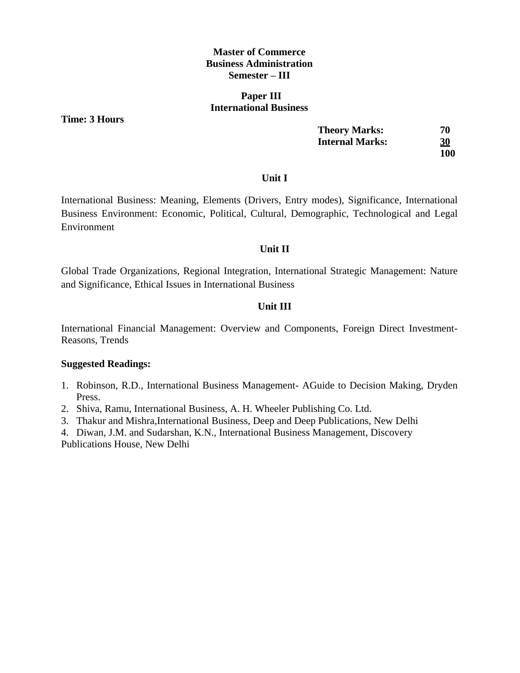#### **Paper III International Business**

**Time: 3 Hours** 

| <b>Theory Marks:</b>   | 70        |
|------------------------|-----------|
| <b>Internal Marks:</b> | <u>30</u> |
|                        | 100       |

#### **Unit I**

International Business: Meaning, Elements (Drivers, Entry modes), Significance, International Business Environment: Economic, Political, Cultural, Demographic, Technological and Legal Environment

## **Unit II**

Global Trade Organizations, Regional Integration, International Strategic Management: Nature and Significance, Ethical Issues in International Business

## **Unit III**

International Financial Management: Overview and Components, Foreign Direct Investment-Reasons, Trends

- 1. Robinson, R.D., International Business Management- AGuide to Decision Making, Dryden Press.
- 2. Shiva, Ramu, International Business, A. H. Wheeler Publishing Co. Ltd.
- 3. Thakur and Mishra,International Business, Deep and Deep Publications, New Delhi
- 4. Diwan, J.M. and Sudarshan, K.N., International Business Management, Discovery Publications House, New Delhi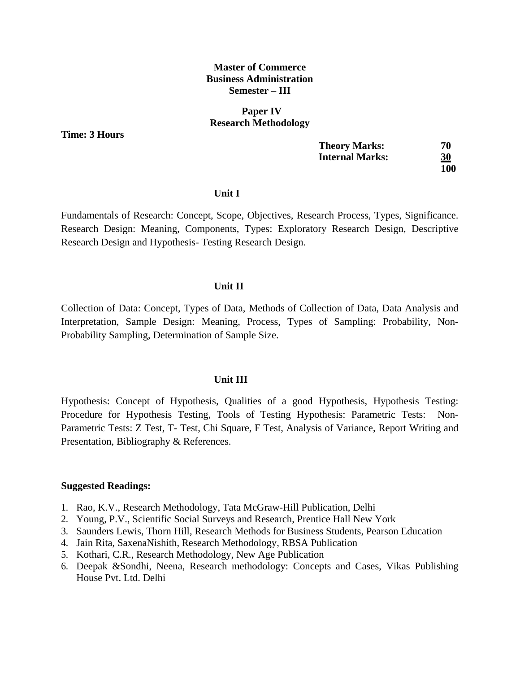#### **Paper IV Research Methodology**

**Time: 3 Hours** 

| <b>Theory Marks:</b>   | 70         |
|------------------------|------------|
| <b>Internal Marks:</b> | <b>30</b>  |
|                        | <b>100</b> |

#### **Unit I**

Fundamentals of Research: Concept, Scope, Objectives, Research Process, Types, Significance. Research Design: Meaning, Components, Types: Exploratory Research Design, Descriptive Research Design and Hypothesis- Testing Research Design.

### **Unit II**

Collection of Data: Concept, Types of Data, Methods of Collection of Data, Data Analysis and Interpretation, Sample Design: Meaning, Process, Types of Sampling: Probability, Non-Probability Sampling, Determination of Sample Size.

#### **Unit III**

Hypothesis: Concept of Hypothesis, Qualities of a good Hypothesis, Hypothesis Testing: Procedure for Hypothesis Testing, Tools of Testing Hypothesis: Parametric Tests: Non-Parametric Tests: Z Test, T- Test, Chi Square, F Test, Analysis of Variance, Report Writing and Presentation, Bibliography & References.

- 1. Rao, K.V., Research Methodology, Tata McGraw-Hill Publication, Delhi
- 2. Young, P.V., Scientific Social Surveys and Research, Prentice Hall New York
- 3. Saunders Lewis, Thorn Hill, Research Methods for Business Students, Pearson Education
- 4. Jain Rita, SaxenaNishith, Research Methodology, RBSA Publication
- 5. Kothari, C.R., Research Methodology, New Age Publication
- 6. Deepak &Sondhi, Neena, Research methodology: Concepts and Cases, Vikas Publishing House Pvt. Ltd. Delhi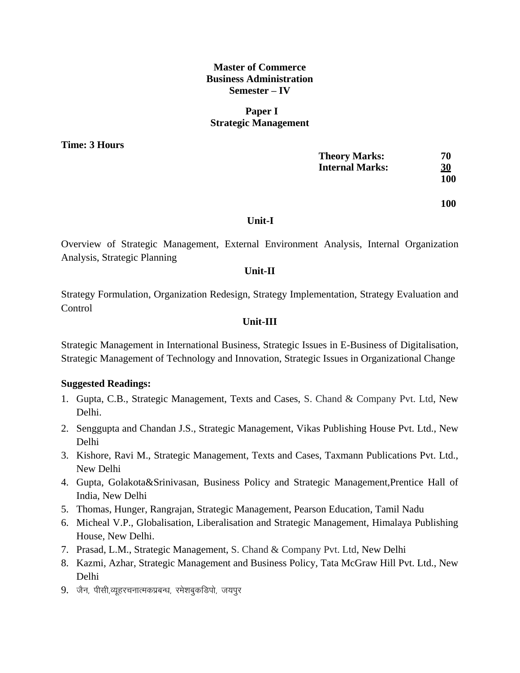## **Paper I Strategic Management**

**Time: 3 Hours** 

| <b>Theory Marks:</b> | 70  |
|----------------------|-----|
| Internal Marks:      | 30  |
|                      | 100 |

**100**

#### **Unit-I**

Overview of Strategic Management, External Environment Analysis, Internal Organization Analysis, Strategic Planning

## **Unit-II**

Strategy Formulation, Organization Redesign, Strategy Implementation, Strategy Evaluation and **Control** 

#### **Unit-III**

Strategic Management in International Business, Strategic Issues in E-Business of Digitalisation, Strategic Management of Technology and Innovation, Strategic Issues in Organizational Change

- 1. Gupta, C.B., Strategic Management, Texts and Cases, S. Chand & Company Pvt. Ltd, New Delhi.
- 2. Senggupta and Chandan J.S., Strategic Management, Vikas Publishing House Pvt. Ltd., New Delhi
- 3. Kishore, Ravi M., Strategic Management, Texts and Cases, Taxmann Publications Pvt. Ltd., New Delhi
- 4. Gupta, Golakota&Srinivasan, Business Policy and Strategic Management,Prentice Hall of India, New Delhi
- 5. Thomas, Hunger, Rangrajan, Strategic Management, Pearson Education, Tamil Nadu
- 6. Micheal V.P., Globalisation, Liberalisation and Strategic Management, Himalaya Publishing House, New Delhi.
- 7. Prasad, L.M., Strategic Management, S. Chand & Company Pvt. Ltd, New Delhi
- 8. Kazmi, Azhar, Strategic Management and Business Policy, Tata McGraw Hill Pvt. Ltd., New Delhi
- 9. जैन, पीसी,व्युहरचनात्मकप्रबन्ध, रमेशबुकडिपो, जयपुर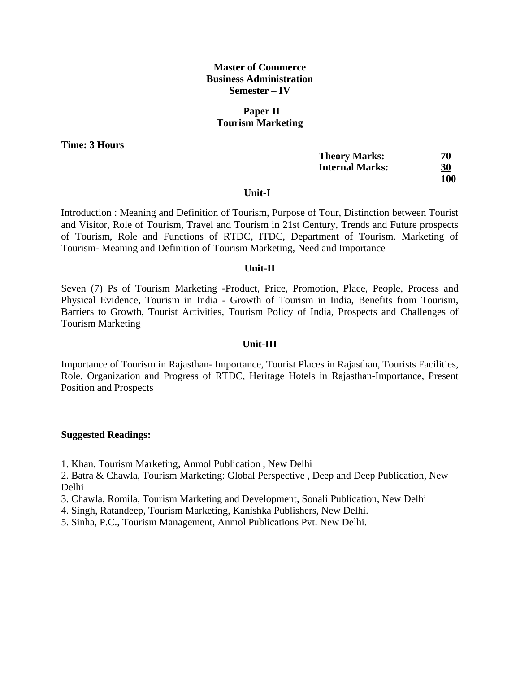## **Paper II Tourism Marketing**

**Time: 3 Hours** 

| <b>Theory Marks:</b> | 70         |
|----------------------|------------|
| Internal Marks:      | <u>30</u>  |
|                      | <b>100</b> |

#### **Unit-I**

Introduction : Meaning and Definition of Tourism, Purpose of Tour, Distinction between Tourist and Visitor, Role of Tourism, Travel and Tourism in 21st Century, Trends and Future prospects of Tourism, Role and Functions of RTDC, ITDC, Department of Tourism. Marketing of Tourism- Meaning and Definition of Tourism Marketing, Need and Importance

#### **Unit-II**

Seven (7) Ps of Tourism Marketing -Product, Price, Promotion, Place, People, Process and Physical Evidence, Tourism in India - Growth of Tourism in India, Benefits from Tourism, Barriers to Growth, Tourist Activities, Tourism Policy of India, Prospects and Challenges of Tourism Marketing

#### **Unit-III**

Importance of Tourism in Rajasthan- Importance, Tourist Places in Rajasthan, Tourists Facilities, Role, Organization and Progress of RTDC, Heritage Hotels in Rajasthan-Importance, Present Position and Prospects

#### **Suggested Readings:**

1. Khan, Tourism Marketing, Anmol Publication , New Delhi

2. Batra & Chawla, Tourism Marketing: Global Perspective , Deep and Deep Publication, New Delhi

- 3. Chawla, Romila, Tourism Marketing and Development, Sonali Publication, New Delhi
- 4. Singh, Ratandeep, Tourism Marketing, Kanishka Publishers, New Delhi.
- 5. Sinha, P.C., Tourism Management, Anmol Publications Pvt. New Delhi.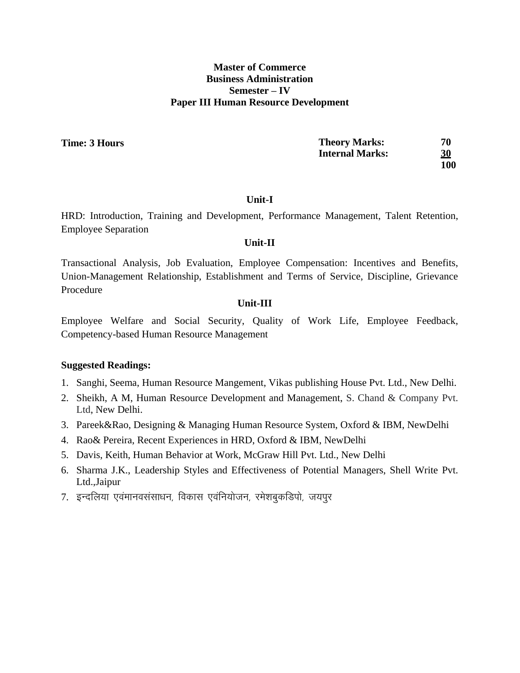## **Master of Commerce Business Administration Semester – IV Paper III Human Resource Development**

**Time: 3 Hours** 

| <b>Theory Marks:</b>   | 70         |
|------------------------|------------|
| <b>Internal Marks:</b> | <u>30</u>  |
|                        | <b>100</b> |

#### **Unit-I**

HRD: Introduction, Training and Development, Performance Management, Talent Retention, Employee Separation

#### **Unit-II**

Transactional Analysis, Job Evaluation, Employee Compensation: Incentives and Benefits, Union-Management Relationship, Establishment and Terms of Service, Discipline, Grievance Procedure

#### **Unit-III**

Employee Welfare and Social Security, Quality of Work Life, Employee Feedback, Competency-based Human Resource Management

- 1. Sanghi, Seema, Human Resource Mangement, Vikas publishing House Pvt. Ltd., New Delhi.
- 2. Sheikh, A M, Human Resource Development and Management, S. Chand & Company Pvt. Ltd, New Delhi.
- 3. Pareek&Rao, Designing & Managing Human Resource System, Oxford & IBM, NewDelhi
- 4. Rao& Pereira, Recent Experiences in HRD, Oxford & IBM, NewDelhi
- 5. Davis, Keith, Human Behavior at Work, McGraw Hill Pvt. Ltd., New Delhi
- 6. Sharma J.K., Leadership Styles and Effectiveness of Potential Managers, Shell Write Pvt. Ltd.,Jaipur
- 7. इन्दलिया एवंमानवसंसाधन, विकास एवंनियोजन, रमेशबुकडिपो, जयपुर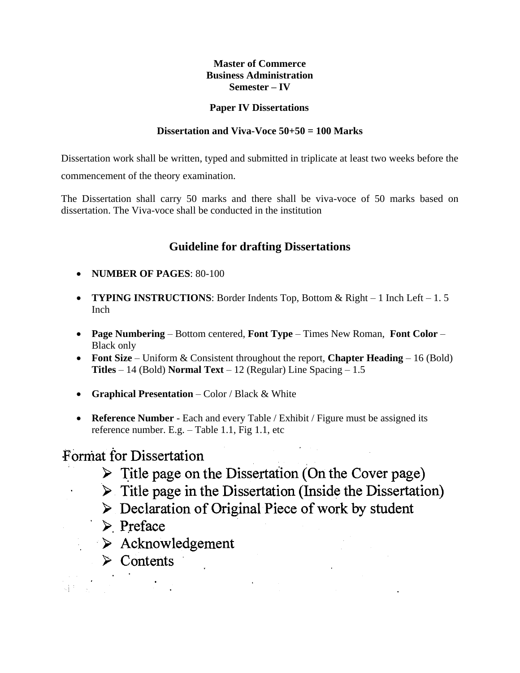## **Paper IV Dissertations**

## **Dissertation and Viva-Voce 50+50 = 100 Marks**

Dissertation work shall be written, typed and submitted in triplicate at least two weeks before the commencement of the theory examination.

The Dissertation shall carry 50 marks and there shall be viva-voce of 50 marks based on dissertation. The Viva-voce shall be conducted in the institution

# **Guideline for drafting Dissertations**

- **NUMBER OF PAGES**: 80-100
- **TYPING INSTRUCTIONS**: Border Indents Top, Bottom & Right 1 Inch Left 1. 5 Inch
- **Page Numbering** Bottom centered, **Font Type** Times New Roman, **Font Color**  Black only
- **Font Size** Uniform & Consistent throughout the report, **Chapter Heading** 16 (Bold) **Titles** – 14 (Bold) **Normal Text** – 12 (Regular) Line Spacing – 1.5
- **Graphical Presentation** Color / Black & White
- **Reference Number** Each and every Table / Exhibit / Figure must be assigned its reference number. E.g. – Table 1.1, Fig 1.1, etc

# Format for Dissertation

- $\triangleright$  Title page on the Dissertation (On the Cover page)
- $\triangleright$  Title page in the Dissertation (Inside the Dissertation)
- $\triangleright$  Declaration of Original Piece of work by student

 $\label{eq:2} \frac{1}{2} \left( \frac{1}{2} \left( \frac{1}{2} \right) \right) \left( \frac{1}{2} \left( \frac{1}{2} \right) \right) \left( \frac{1}{2} \right) \left( \frac{1}{2} \right)$ 

- $\triangleright$  Preface
	- $\triangleright$  Acknowledgement
		- $\triangleright$  Contents